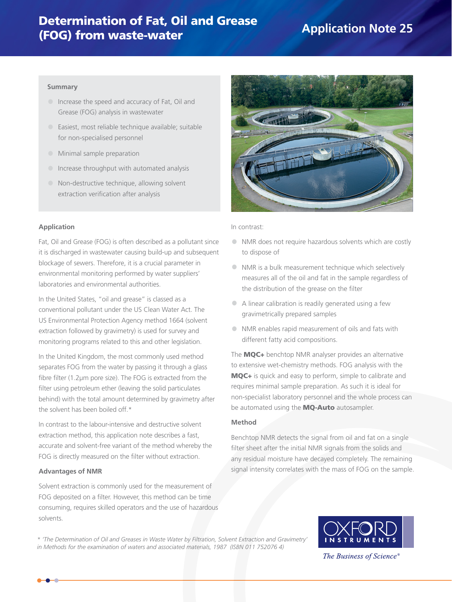# Determination of Fat, Oil and Grease (FOG) from waste-water

# **Application Note 25**

#### **Summary**

- **•** Increase the speed and accuracy of Fat, Oil and Grease (FOG) analysis in wastewater
- **•** Easiest, most reliable technique available; suitable for non-specialised personnel
- **•** Minimal sample preparation
- **•** Increase throughput with automated analysis
- **•** Non-destructive technique, allowing solvent extraction verification after analysis

#### **Application**

Fat, Oil and Grease (FOG) is often described as a pollutant since it is discharged in wastewater causing build-up and subsequent blockage of sewers. Therefore, it is a crucial parameter in environmental monitoring performed by water suppliers' laboratories and environmental authorities.

In the United States, "oil and grease" is classed as a conventional pollutant under the US Clean Water Act. The US Environmental Protection Agency method 1664 (solvent extraction followed by gravimetry) is used for survey and monitoring programs related to this and other legislation.

In the United Kingdom, the most commonly used method separates FOG from the water by passing it through a glass fibre filter (1.2μm pore size). The FOG is extracted from the filter using petroleum ether (leaving the solid particulates behind) with the total amount determined by gravimetry after the solvent has been boiled off.\*

In contrast to the labour-intensive and destructive solvent extraction method, this application note describes a fast, accurate and solvent-free variant of the method whereby the FOG is directly measured on the filter without extraction.

#### **Advantages of NMR**

Solvent extraction is commonly used for the measurement of FOG deposited on a filter. However, this method can be time consuming, requires skilled operators and the use of hazardous solvents.



In contrast:

- **•** NMR does not require hazardous solvents which are costly to dispose of
- **•** NMR is a bulk measurement technique which selectively measures all of the oil and fat in the sample regardless of the distribution of the grease on the filter
- **•** A linear calibration is readily generated using a few gravimetrically prepared samples
- **•** NMR enables rapid measurement of oils and fats with different fatty acid compositions.

The MQC+ benchtop NMR analyser provides an alternative to extensive wet-chemistry methods. FOG analysis with the MQC+ is quick and easy to perform, simple to calibrate and requires minimal sample preparation. As such it is ideal for non-specialist laboratory personnel and the whole process can be automated using the **MQ-Auto** autosampler.

### **Method**

Benchtop NMR detects the signal from oil and fat on a single filter sheet after the initial NMR signals from the solids and any residual moisture have decayed completely. The remaining signal intensity correlates with the mass of FOG on the sample.

*\* 'The Determination of Oil and Greases in Waste Water by Filtration, Solvent Extraction and Gravimetry' in Methods for the examination of waters and associated materials, 1987 (ISBN 011 752076 4)*



The Business of Science<sup>®</sup>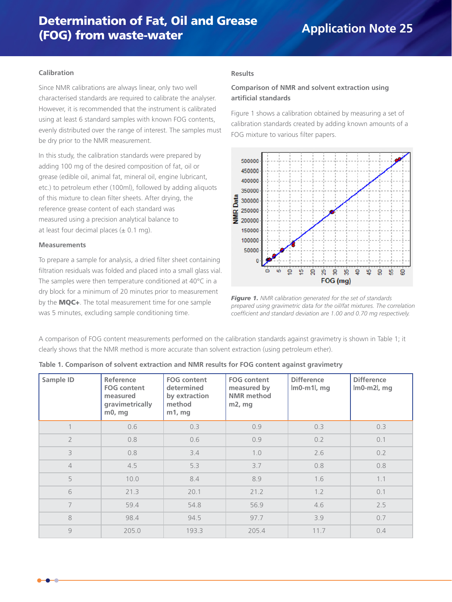#### **Calibration**

Since NMR calibrations are always linear, only two well characterised standards are required to calibrate the analyser. However, it is recommended that the instrument is calibrated using at least 6 standard samples with known FOG contents, evenly distributed over the range of interest. The samples must be dry prior to the NMR measurement.

In this study, the calibration standards were prepared by adding 100 mg of the desired composition of fat, oil or grease (edible oil, animal fat, mineral oil, engine lubricant, etc.) to petroleum ether (100ml), followed by adding aliquots of this mixture to clean filter sheets. After drying, the reference grease content of each standard was measured using a precision analytical balance to at least four decimal places  $(\pm 0.1 \text{ mg})$ .

#### **Measurements**

To prepare a sample for analysis, a dried filter sheet containing filtration residuals was folded and placed into a small glass vial. The samples were then temperature conditioned at 40°C in a dry block for a minimum of 20 minutes prior to measurement by the MQC+. The total measurement time for one sample was 5 minutes, excluding sample conditioning time.

#### **Results**

## **Comparison of NMR and solvent extraction using artificial standards**

Figure 1 shows a calibration obtained by measuring a set of calibration standards created by adding known amounts of a FOG mixture to various filter papers.



*Figure 1. NMR calibration generated for the set of standards prepared using gravimetric data for the oil/fat mixtures. The correlation coefficient and standard deviation are 1.00 and 0.70 mg respectively.*

A comparison of FOG content measurements performed on the calibration standards against gravimetry is shown in Table 1; it clearly shows that the NMR method is more accurate than solvent extraction (using petroleum ether).

| Sample ID      | Reference<br><b>FOG content</b><br>measured<br>gravimetrically<br>$m0$ , mg | <b>FOG content</b><br>determined<br>by extraction<br>method<br>$m1$ , mg | <b>FOG content</b><br>measured by<br><b>NMR</b> method<br>$m2$ , mg | <b>Difference</b><br>$Im0-m1l$ , mg | <b>Difference</b><br>$\lfloor m0-m2 \rfloor$ , mg |
|----------------|-----------------------------------------------------------------------------|--------------------------------------------------------------------------|---------------------------------------------------------------------|-------------------------------------|---------------------------------------------------|
| 1              | 0.6                                                                         | 0.3                                                                      | 0.9                                                                 | 0.3                                 | 0.3                                               |
| $\overline{2}$ | 0.8                                                                         | 0.6                                                                      | 0.9                                                                 | 0.2                                 | 0.1                                               |
| 3              | 0.8                                                                         | 3.4                                                                      | 1.0                                                                 | 2.6                                 | 0.2                                               |
| $\overline{4}$ | 4.5                                                                         | 5.3                                                                      | 3.7                                                                 | 0.8                                 | 0.8                                               |
| 5              | 10.0                                                                        | 8.4                                                                      | 8.9                                                                 | 1.6                                 | 1.1                                               |
| 6              | 21.3                                                                        | 20.1                                                                     | 21.2                                                                | 1.2                                 | 0.1                                               |
| $\overline{7}$ | 59.4                                                                        | 54.8                                                                     | 56.9                                                                | 4.6                                 | 2.5                                               |
| 8              | 98.4                                                                        | 94.5                                                                     | 97.7                                                                | 3.9                                 | 0.7                                               |
| 9              | 205.0                                                                       | 193.3                                                                    | 205.4                                                               | 11.7                                | 0.4                                               |

| Table 1. Comparison of solvent extraction and NMR results for FOG content against gravimetry |  |  |  |  |
|----------------------------------------------------------------------------------------------|--|--|--|--|
|                                                                                              |  |  |  |  |